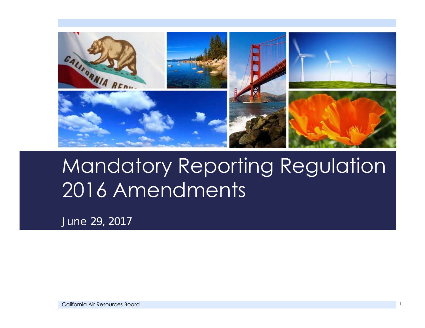

## Mandatory Reporting Regulation 2016 Amendments

*June 29, 2017*

California Air Resources Board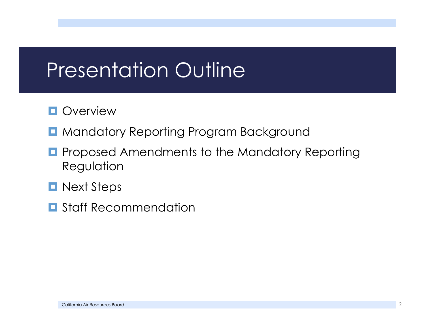## Presentation Outline

#### **Overview**

- **H** Mandatory Reporting Program Background
- о Proposed Amendments to the Mandatory Reporting Regulation
- **Next Steps**
- $\blacksquare$  Staff Recommendation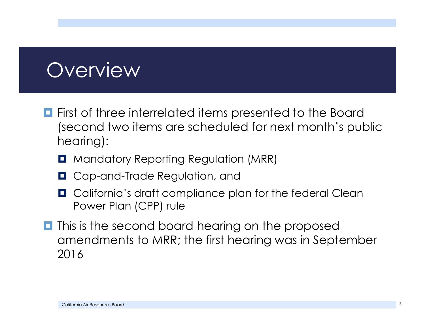## **Overview**

- **First of three interrelated items presented to the Board** (second two items are scheduled for next month's public hearing):
	- **Q** Mandatory Reporting Regulation (MRR)
	- **Q** Cap-and-Trade Regulation, and
	- **Q** California's draft compliance plan for the federal Clean Power Plan (CPP) rule
- $\blacksquare$  This is the second board hearing on the proposed amendments to MRR; the first hearing was in September 2016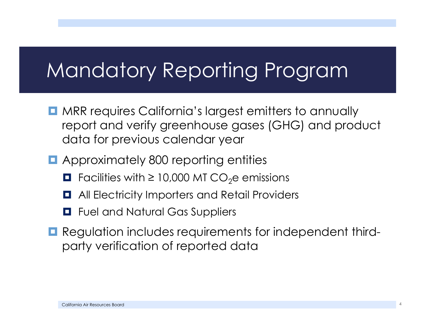## Mandatory Reporting Program

- **D** MRR requires California's largest emitters to annually report and verify greenhouse gases (GHG) and product data for previous calendar year
- **E** Approximately 800 reporting entities
	- $\blacksquare$  Facilities with  $\geq$  10,000 MT CO<sub>2</sub>e emissions
	- $\blacksquare$  All Electricity Importers and Retail Providers
	- **E** Fuel and Natural Gas Suppliers
- **Regulation includes requirements for independent third**party verification of reported data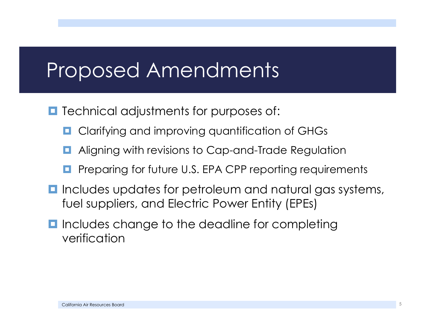## Proposed Amendments

- **T** Technical adjustments for purposes of:
	- о Clarifying and improving quantification of GHGs
	- $\blacksquare$ Aligning with revisions to Cap-and-Trade Regulation
	- $\blacksquare$ Preparing for future U.S. EPA CPP reporting requirements
- **I** Includes updates for petroleum and natural gas systems, fuel suppliers, and Electric Power Entity (EPEs)
- **I** Includes change to the deadline for completing verification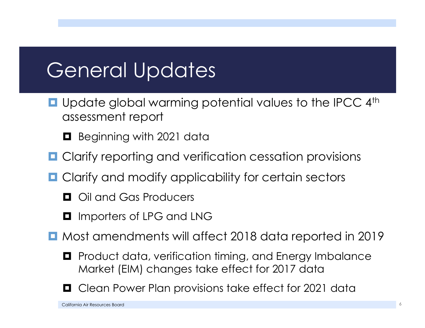## General Updates

- **Q** Update global warming potential values to the IPCC 4<sup>th</sup> assessment report
	- **B** Beginning with 2021 data
- $\Box$ Clarify reporting and verification cessation provisions
- **Q** Clarify and modify applicability for certain sectors
	- $\Box$  Oil and Gas Producers
	- $\blacksquare$  Importers of LPG and LNG
- Most amendments will affect 2018 data reported in 2019
	- $\blacksquare$  Product data, verification timing, and Energy Imbalance Market (EIM) changes take effect for 2017 data



Clean Power Plan provisions take effect for 2021 data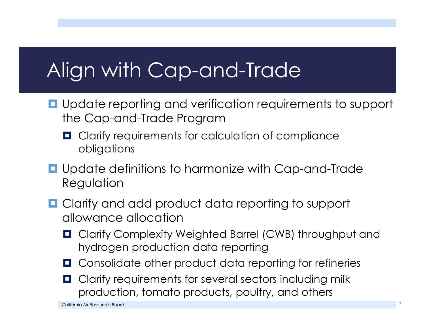# Align with Cap-and-Trade

- **Q** Update reporting and verification requirements to support the Cap-and-Trade Program
	- $\blacksquare$  Clarify requirements for calculation of compliance obligations
- **Q** Update definitions to harmonize with Cap-and-Trade Regulation
- **Q** Clarify and add product data reporting to support allowance allocation
	- **Q** Clarify Complexity Weighted Barrel (CWB) throughput and hydrogen production data reporting
	- $\blacksquare$  Consolidate other product data reporting for refineries
	- $\blacksquare$  Clarify requirements for several sectors including milk production, tomato products, poultry, and others

California Air Resources Boarddiscussion and the contract of the contract of the contract of the contract of the contract of the contract of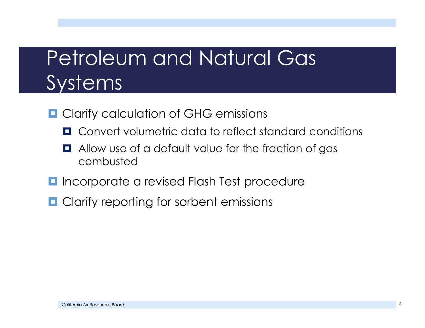## Petroleum and Natural Gas Systems

- **Q** Clarify calculation of GHG emissions
	- $\blacksquare$  Convert volumetric data to reflect standard conditions
	- **Q** Allow use of a default value for the fraction of gas combusted
- $\blacksquare$  Incorporate a revised Flash Test procedure
- $\blacksquare$  Clarify reporting for sorbent emissions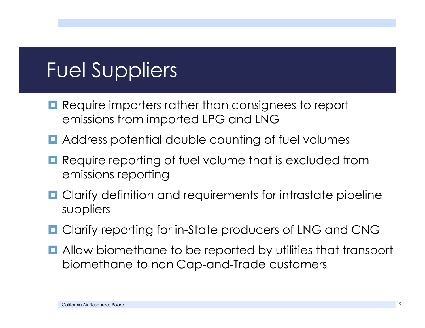# Fuel Suppliers

- $\blacksquare$  Require importers rather than consignees to report emissions from imported LPG and LNG
- $\blacksquare$  Address potential double counting of fuel volumes
- $\Box$  Require reporting of fuel volume that is excluded from emissions reporting
- **O** Clarify definition and requirements for intrastate pipeline suppliers
- **Q** Clarify reporting for in-State producers of LNG and CNG
- **E** Allow biomethane to be reported by utilities that transport biomethane to non Cap-and-Trade customers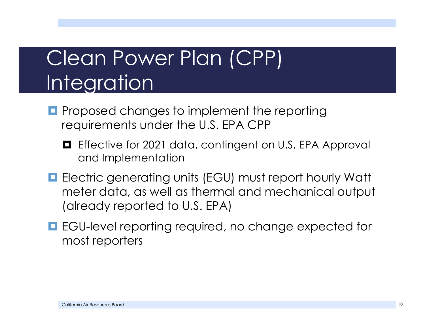# Clean Power Plan (CPP) Integration

- **P** Proposed changes to implement the reporting requirements under the U.S. EPA CPP
	- O Effective for 2021 data, contingent on U.S. EPA Approval and Implementation
- **E** Electric generating units (EGU) must report hourly Watt meter data, as well as thermal and mechanical output (already reported to U.S. EPA)
- **E** EGU-level reporting required, no change expected for most reporters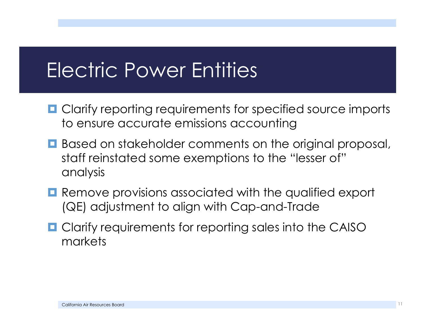## Electric Power Entities

- $\blacksquare$  Clarify reporting requirements for specified source imports to ensure accurate emissions accounting
- **B** Based on stakeholder comments on the original proposal, staff reinstated some exemptions to the "lesser of" analysis
- **Remove provisions associated with the qualified export** (QE) adjustment to align with Cap-and-Trade
- **Q** Clarify requirements for reporting sales into the CAISO markets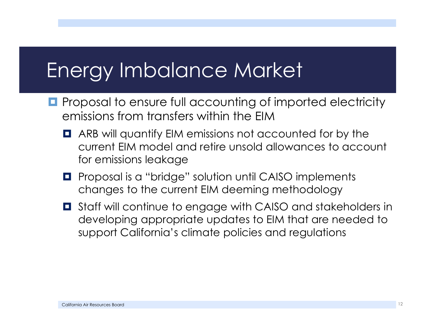## Energy Imbalance Market

- **Pe** Proposal to ensure full accounting of imported electricity emissions from transfers within the EIM
	- $\blacksquare$  ARB will quantify EIM emissions not accounted for by the current EIM model and retire unsold allowances to account for emissions leakage
	- **P** Proposal is a "bridge" solution until CAISO implements changes to the current EIM deeming methodology
	- $\blacksquare$  Staff will continue to engage with CAISO and stakeholders in developing appropriate updates to EIM that are needed to support California's climate policies and regulations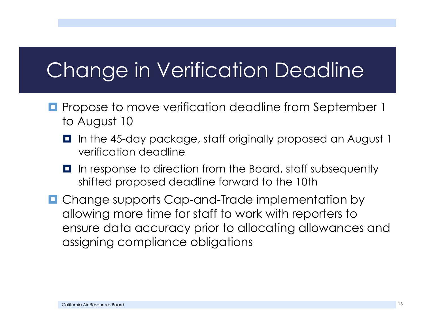# Change in Verification Deadline

- **P** Propose to move verification deadline from September 1 to August 10
	- **I** In the 45-day package, staff originally proposed an August 1 verification deadline
	- In response to direction from the Board, staff subsequently shifted proposed deadline forward to the 10th
- **Q** Change supports Cap-and-Trade implementation by allowing more time for staff to work with reporters to ensure data accuracy prior to allocating allowances and assigning compliance obligations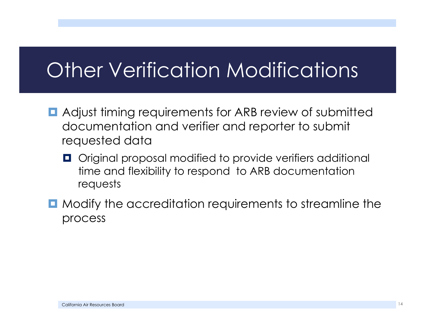## Other Verification Modifications

- **E** Adjust timing requirements for ARB review of submitted documentation and verifier and reporter to submit requested data
	- **O** Original proposal modified to provide verifiers additional time and flexibility to respond to ARB documentation requests
- $\blacksquare$  Modify the accreditation requirements to streamline the process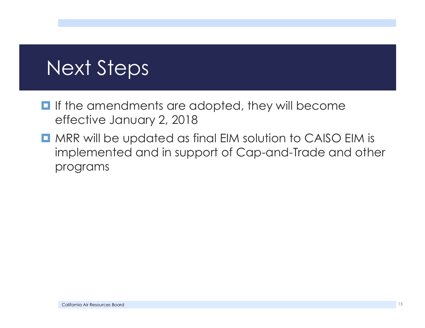## Next Steps

- $\blacksquare$  If the amendments are adopted, they will become effective January 2, 2018
- **D** MRR will be updated as final EIM solution to CAISO EIM is implemented and in support of Cap-and-Trade and other programs